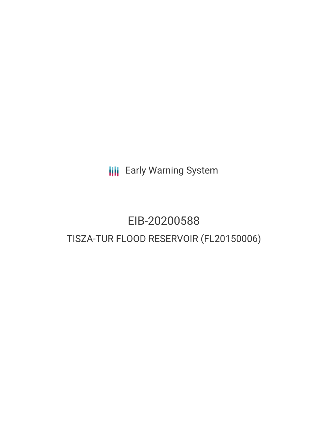**III** Early Warning System

# EIB-20200588 TISZA-TUR FLOOD RESERVOIR (FL20150006)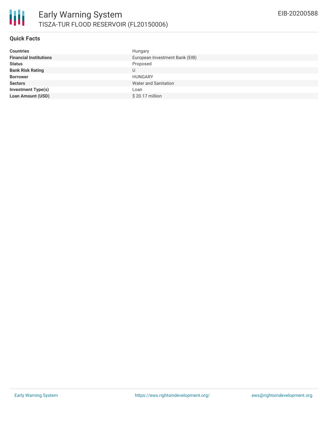

#### **Quick Facts**

| European Investment Bank (EIB)<br>Proposed<br><b>Status</b><br>U | <b>Countries</b>              | Hungary        |
|------------------------------------------------------------------|-------------------------------|----------------|
|                                                                  | <b>Financial Institutions</b> |                |
|                                                                  |                               |                |
|                                                                  | <b>Bank Risk Rating</b>       |                |
|                                                                  | <b>Borrower</b>               | <b>HUNGARY</b> |
| <b>Water and Sanitation</b><br><b>Sectors</b>                    |                               |                |
| Loan                                                             | <b>Investment Type(s)</b>     |                |
| \$20.17 million                                                  | <b>Loan Amount (USD)</b>      |                |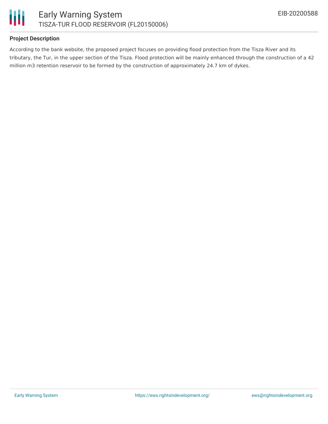

## **Project Description**

According to the bank website, the proposed project focuses on providing flood protection from the Tisza River and its tributary, the Tur, in the upper section of the Tisza. Flood protection will be mainly enhanced through the construction of a 42 million m3 retention reservoir to be formed by the construction of approximately 24.7 km of dykes.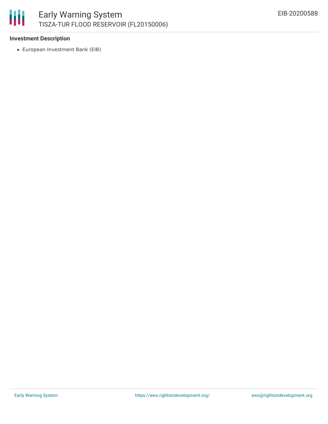

#### **Investment Description**

European Investment Bank (EIB)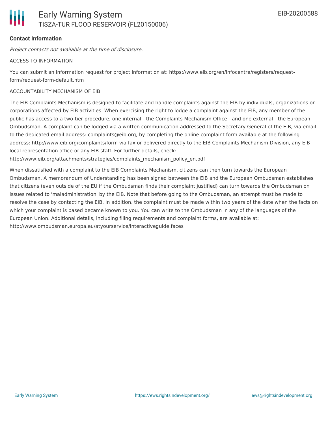#### **Contact Information**

Project contacts not available at the time of disclosure.

#### ACCESS TO INFORMATION

You can submit an information request for project information at: https://www.eib.org/en/infocentre/registers/requestform/request-form-default.htm

#### ACCOUNTABILITY MECHANISM OF EIB

The EIB Complaints Mechanism is designed to facilitate and handle complaints against the EIB by individuals, organizations or corporations affected by EIB activities. When exercising the right to lodge a complaint against the EIB, any member of the public has access to a two-tier procedure, one internal - the Complaints Mechanism Office - and one external - the European Ombudsman. A complaint can be lodged via a written communication addressed to the Secretary General of the EIB, via email to the dedicated email address: complaints@eib.org, by completing the online complaint form available at the following address: http://www.eib.org/complaints/form via fax or delivered directly to the EIB Complaints Mechanism Division, any EIB local representation office or any EIB staff. For further details, check:

http://www.eib.org/attachments/strategies/complaints\_mechanism\_policy\_en.pdf

When dissatisfied with a complaint to the EIB Complaints Mechanism, citizens can then turn towards the European Ombudsman. A memorandum of Understanding has been signed between the EIB and the European Ombudsman establishes that citizens (even outside of the EU if the Ombudsman finds their complaint justified) can turn towards the Ombudsman on issues related to 'maladministration' by the EIB. Note that before going to the Ombudsman, an attempt must be made to resolve the case by contacting the EIB. In addition, the complaint must be made within two years of the date when the facts on which your complaint is based became known to you. You can write to the Ombudsman in any of the languages of the European Union. Additional details, including filing requirements and complaint forms, are available at: http://www.ombudsman.europa.eu/atyourservice/interactiveguide.faces